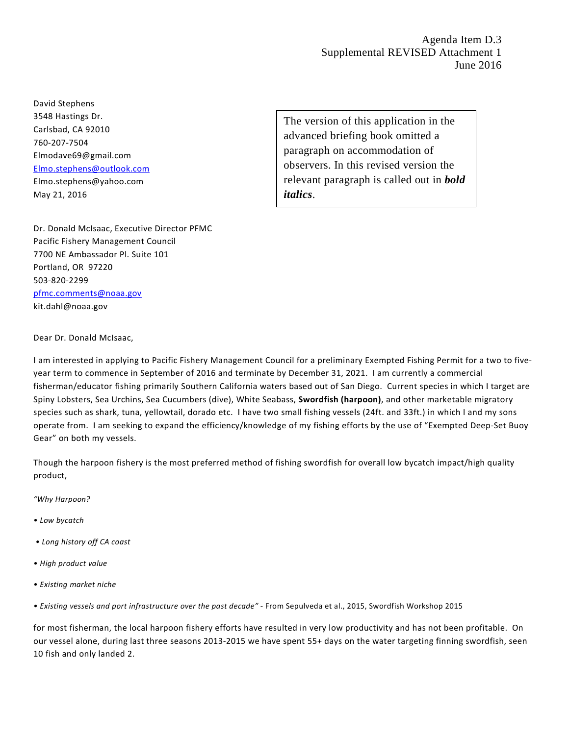Agenda Item D.3 Supplemental REVISED Attachment 1 June 2016

David Stephens 3548 Hastings Dr. Carlsbad, CA 92010 760-207-7504 Elmodave69@gmail.com [Elmo.stephens@outlook.com](mailto:Elmo.stephens@outlook.com) Elmo.stephens@yahoo.com May 21, 2016

The version of this application in the advanced briefing book omitted a paragraph on accommodation of observers. In this revised version the relevant paragraph is called out in *bold italics*.

Dr. Donald McIsaac, Executive Director PFMC Pacific Fishery Management Council 7700 NE Ambassador Pl. Suite 101 Portland, OR 97220 503-820-2299 [pfmc.comments@noaa.gov](mailto:pfmc.comments@noaa.gov) kit.dahl@noaa.gov

Dear Dr. Donald McIsaac,

I am interested in applying to Pacific Fishery Management Council for a preliminary Exempted Fishing Permit for a two to fiveyear term to commence in September of 2016 and terminate by December 31, 2021. I am currently a commercial fisherman/educator fishing primarily Southern California waters based out of San Diego. Current species in which I target are Spiny Lobsters, Sea Urchins, Sea Cucumbers (dive), White Seabass, **Swordfish (harpoon)**, and other marketable migratory species such as shark, tuna, yellowtail, dorado etc. I have two small fishing vessels (24ft. and 33ft.) in which I and my sons operate from. I am seeking to expand the efficiency/knowledge of my fishing efforts by the use of "Exempted Deep-Set Buoy Gear" on both my vessels.

Though the harpoon fishery is the most preferred method of fishing swordfish for overall low bycatch impact/high quality product,

*"Why Harpoon?* 

- *Low bycatch*
- *Long history off CA coast*
- *High product value*
- *Existing market niche*
- *Existing vessels and port infrastructure over the past decade" -* From Sepulveda et al., 2015, Swordfish Workshop 2015

for most fisherman, the local harpoon fishery efforts have resulted in very low productivity and has not been profitable. On our vessel alone, during last three seasons 2013-2015 we have spent 55+ days on the water targeting finning swordfish, seen 10 fish and only landed 2.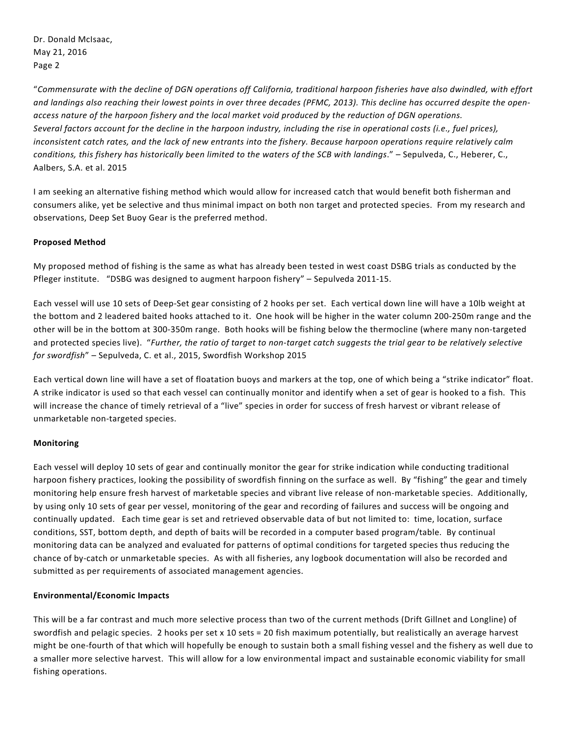Dr. Donald McIsaac, May 21, 2016 Page 2

"*Commensurate with the decline of DGN operations off California, traditional harpoon fisheries have also dwindled, with effort and landings also reaching their lowest points in over three decades (PFMC, 2013). This decline has occurred despite the openaccess nature of the harpoon fishery and the local market void produced by the reduction of DGN operations. Several factors account for the decline in the harpoon industry, including the rise in operational costs (i.e., fuel prices), inconsistent catch rates, and the lack of new entrants into the fishery. Because harpoon operations require relatively calm conditions, this fishery has historically been limited to the waters of the SCB with landings*." – Sepulveda, C., Heberer, C., Aalbers, S.A. et al. 2015

I am seeking an alternative fishing method which would allow for increased catch that would benefit both fisherman and consumers alike, yet be selective and thus minimal impact on both non target and protected species. From my research and observations, Deep Set Buoy Gear is the preferred method.

## **Proposed Method**

My proposed method of fishing is the same as what has already been tested in west coast DSBG trials as conducted by the Pfleger institute. "DSBG was designed to augment harpoon fishery" – Sepulveda 2011-15.

Each vessel will use 10 sets of Deep-Set gear consisting of 2 hooks per set. Each vertical down line will have a 10lb weight at the bottom and 2 leadered baited hooks attached to it. One hook will be higher in the water column 200-250m range and the other will be in the bottom at 300-350m range. Both hooks will be fishing below the thermocline (where many non-targeted and protected species live). "*Further, the ratio of target to non-target catch suggests the trial gear to be relatively selective for swordfish*" – Sepulveda, C. et al., 2015, Swordfish Workshop 2015

Each vertical down line will have a set of floatation buoys and markers at the top, one of which being a "strike indicator" float. A strike indicator is used so that each vessel can continually monitor and identify when a set of gear is hooked to a fish. This will increase the chance of timely retrieval of a "live" species in order for success of fresh harvest or vibrant release of unmarketable non-targeted species.

## **Monitoring**

Each vessel will deploy 10 sets of gear and continually monitor the gear for strike indication while conducting traditional harpoon fishery practices, looking the possibility of swordfish finning on the surface as well. By "fishing" the gear and timely monitoring help ensure fresh harvest of marketable species and vibrant live release of non-marketable species. Additionally, by using only 10 sets of gear per vessel, monitoring of the gear and recording of failures and success will be ongoing and continually updated. Each time gear is set and retrieved observable data of but not limited to: time, location, surface conditions, SST, bottom depth, and depth of baits will be recorded in a computer based program/table. By continual monitoring data can be analyzed and evaluated for patterns of optimal conditions for targeted species thus reducing the chance of by-catch or unmarketable species. As with all fisheries, any logbook documentation will also be recorded and submitted as per requirements of associated management agencies.

## **Environmental/Economic Impacts**

This will be a far contrast and much more selective process than two of the current methods (Drift Gillnet and Longline) of swordfish and pelagic species. 2 hooks per set x 10 sets = 20 fish maximum potentially, but realistically an average harvest might be one-fourth of that which will hopefully be enough to sustain both a small fishing vessel and the fishery as well due to a smaller more selective harvest. This will allow for a low environmental impact and sustainable economic viability for small fishing operations.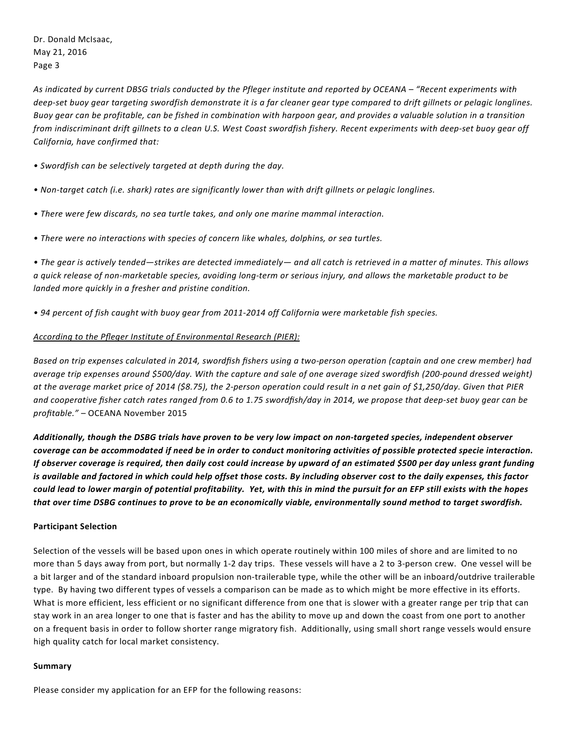*As indicated by current DBSG trials conducted by the Pfleger institute and reported by OCEANA – "Recent experiments with deep-set buoy gear targeting swordfish demonstrate it is a far cleaner gear type compared to drift gillnets or pelagic longlines. Buoy gear can be profitable, can be fished in combination with harpoon gear, and provides a valuable solution in a transition from indiscriminant drift gillnets to a clean U.S. West Coast swordfish fishery. Recent experiments with deep-set buoy gear off California, have confirmed that:* 

*• Swordfish can be selectively targeted at depth during the day.* 

- *Non-target catch (i.e. shark) rates are significantly lower than with drift gillnets or pelagic longlines.*
- *There were few discards, no sea turtle takes, and only one marine mammal interaction.*
- *There were no interactions with species of concern like whales, dolphins, or sea turtles.*

*• The gear is actively tended—strikes are detected immediately— and all catch is retrieved in a matter of minutes. This allows a quick release of non-marketable species, avoiding long-term or serious injury, and allows the marketable product to be landed more quickly in a fresher and pristine condition.* 

*• 94 percent of fish caught with buoy gear from 2011-2014 off California were marketable fish species.*

## *According to the Pfleger Institute of Environmental Research (PIER):*

*Based on trip expenses calculated in 2014, swordfish fishers using a two-person operation (captain and one crew member) had average trip expenses around \$500/day. With the capture and sale of one average sized swordfish (200-pound dressed weight) at the average market price of 2014 (\$8.75), the 2-person operation could result in a net gain of \$1,250/day. Given that PIER and cooperative fisher catch rates ranged from 0.6 to 1.75 swordfish/day in 2014, we propose that deep-set buoy gear can be profitable."* – OCEANA November 2015

*Additionally, though the DSBG trials have proven to be very low impact on non-targeted species, independent observer coverage can be accommodated if need be in order to conduct monitoring activities of possible protected specie interaction. If observer coverage is required, then daily cost could increase by upward of an estimated \$500 per day unless grant funding is available and factored in which could help offset those costs. By including observer cost to the daily expenses, this factor could lead to lower margin of potential profitability. Yet, with this in mind the pursuit for an EFP still exists with the hopes that over time DSBG continues to prove to be an economically viable, environmentally sound method to target swordfish.* 

## **Participant Selection**

Selection of the vessels will be based upon ones in which operate routinely within 100 miles of shore and are limited to no more than 5 days away from port, but normally 1-2 day trips. These vessels will have a 2 to 3-person crew. One vessel will be a bit larger and of the standard inboard propulsion non-trailerable type, while the other will be an inboard/outdrive trailerable type. By having two different types of vessels a comparison can be made as to which might be more effective in its efforts. What is more efficient, less efficient or no significant difference from one that is slower with a greater range per trip that can stay work in an area longer to one that is faster and has the ability to move up and down the coast from one port to another on a frequent basis in order to follow shorter range migratory fish. Additionally, using small short range vessels would ensure high quality catch for local market consistency.

#### **Summary**

Please consider my application for an EFP for the following reasons: